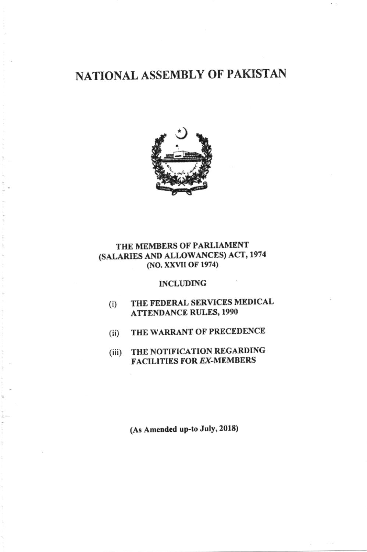# NATIONAL ASSEMBLY OF PAKISTAN



#### THE MEMBERS OF PARLIAMENT (SALARIES AND ALLOWANCES) ACT, 1974 (NO. XXVII OF 1974)

#### **INCLUDING**

- THE FEDERAL SERVICES MEDICAL  $(i)$ **ATTENDANCE RULES, 1990**
- THE WARRANT OF PRECEDENCE  $(ii)$
- THE NOTIFICATION REGARDING  $(iii)$ **FACILITIES FOR EX-MEMBERS**

(As Amended up-to July, 2018)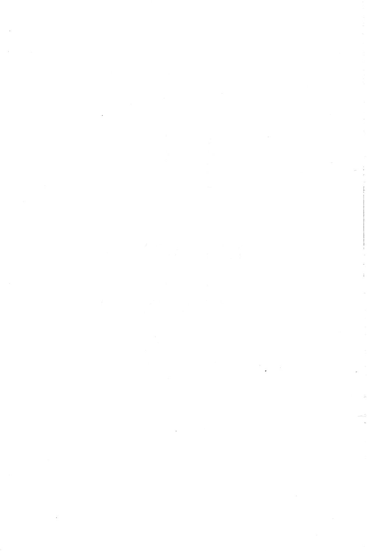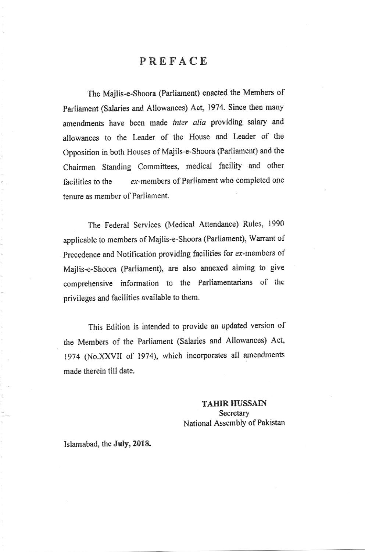## PREFACE

The Majlis-e-Shoora (Parliament) enacted the Members of Parliament (Salaries and Allowances) Act, 1974. Since then many amendments have been made inter alia providing salary and allowances to the Leader of the House and Leader of the Opposition in both Houses of Majils-e-Shoora (Parliament) and the Chairmen Standing Committees, medical facility and other ex-members of Parliament who completed one facilities to the tenure as member of Parliament.

The Federal Services (Medical Attendance) Rules, 1990 applicable to members of Majlis-e-Shoora (Parliament), Warrant of Precedence and Notification providing facilities for ex-members of Mailis-e-Shoora (Parliament), are also annexed aiming to give comprehensive information to the Parliamentarians of the privileges and facilities available to them.

This Edition is intended to provide an updated version of the Members of the Parliament (Salaries and Allowances) Act, 1974 (No.XXVII of 1974), which incorporates all amendments made therein till date.

> **TAHIR HUSSAIN** Secretary National Assembly of Pakistan

Islamabad, the July, 2018.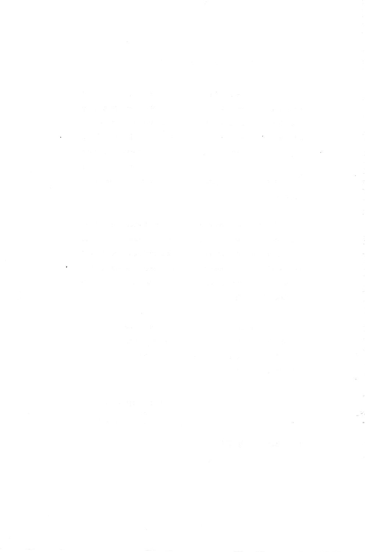$\label{eq:2.1} \mathbf{x} = \mathbf{y}^{-\mathbf{x}} - \mathbf{y}^{-\mathbf{x}}$  $\mathbf{x}^{\leftarrow} = \mathbf{x}^{\leftarrow} = \mathbf{0}^{\leftarrow} = \mathbf{0}^{\leftarrow} = \mathbf{0}^{\leftarrow}$  $\label{eq:zeta} \xi = \frac{\sigma_1}{\sigma_1} \qquad \qquad \xi = \frac{2\pi}{\sigma_1} \qquad \qquad \xi = \frac{2\pi}{\sigma_1} \qquad \qquad \xi = \frac{2\pi}{\sigma_1} \qquad \qquad \xi = \frac{2\pi}{\sigma_1} \qquad \qquad \xi = \frac{2\pi}{\sigma_1} \qquad \qquad \xi = \frac{2\pi}{\sigma_1} \qquad \qquad \xi = \frac{2\pi}{\sigma_1} \qquad \qquad \xi = \frac{2\pi}{\sigma_1} \qquad \qquad \xi = \frac{2\pi}{\sigma_1} \qquad \qquad \xi$  $\mu^{-2}$  $\mathbf{v} = (1-x)^{\frac{1}{2}}\mathbf{v}^{\frac{1}{2}}\mathbf{v}^{\frac{1}{2}}\mathbf{v}^{\frac{1}{2}}\mathbf{v}^{\frac{1}{2}}\mathbf{v}^{\frac{1}{2}}\mathbf{v}^{\frac{1}{2}}\mathbf{v}^{\frac{1}{2}}\mathbf{v}^{\frac{1}{2}}\mathbf{v}^{\frac{1}{2}}\mathbf{v}^{\frac{1}{2}}\mathbf{v}^{\frac{1}{2}}\mathbf{v}^{\frac{1}{2}}\mathbf{v}^{\frac{1}{2}}\mathbf{v}^{\frac{1}{2}}\mathbf{v}$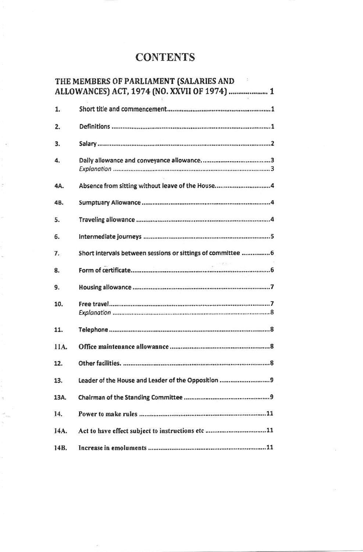## **CONTENTS**

| THE MEMBERS OF PARLIAMENT (SALARIES AND<br>ALLOWANCES) ACT, 1974 (NO. XXVII OF 1974)  1 |                                                              |  |
|-----------------------------------------------------------------------------------------|--------------------------------------------------------------|--|
| 1.                                                                                      |                                                              |  |
| 2.                                                                                      |                                                              |  |
| 3.                                                                                      |                                                              |  |
| 4.                                                                                      |                                                              |  |
| 4A.                                                                                     | Absence from sitting without leave of the House4             |  |
| 4B.                                                                                     |                                                              |  |
| 5.                                                                                      |                                                              |  |
| 6.                                                                                      |                                                              |  |
| 7.                                                                                      | Short intervals between sessions or sittings of committee  6 |  |
| 8.                                                                                      |                                                              |  |
| 9.                                                                                      |                                                              |  |
| 10.                                                                                     |                                                              |  |
| 11.                                                                                     |                                                              |  |
| 11A.                                                                                    |                                                              |  |
| 12.                                                                                     |                                                              |  |
| 13.                                                                                     | Leader of the House and Leader of the Opposition  9          |  |
| 13A.                                                                                    |                                                              |  |
| 14.                                                                                     |                                                              |  |
| 14A.                                                                                    | Act to have effect subject to instructions etc 11            |  |
| 14B.                                                                                    |                                                              |  |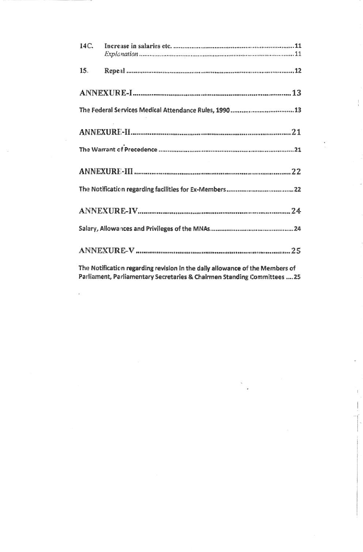| 14C.                                                       |  |  |
|------------------------------------------------------------|--|--|
| 15.                                                        |  |  |
|                                                            |  |  |
| The Federal Services Medical Attendance Rules, 199013      |  |  |
|                                                            |  |  |
|                                                            |  |  |
|                                                            |  |  |
|                                                            |  |  |
|                                                            |  |  |
|                                                            |  |  |
| ANNEXURE-V management and management and management and 25 |  |  |

The Notification regarding revision in the daily allowance of the Members of<br>Parliament, Parliamentary Secretaries & Chairmen Standing Committees .... 25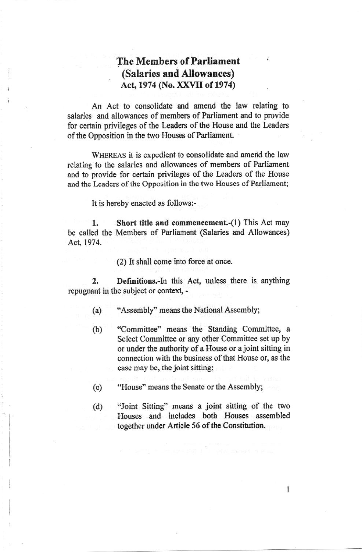## The Members of Parliament (Salaries and Allowances) Act, 1974 (No. XXVII of 1974)

An Act to consolidate and amend the law relating to salaries and allowances of members of Parliament and to provide for certain privileges of the Leaders of the House and the Leaders of the Opposition in the two Houses of Parliament.

WHEREAS it is expedient to consolidate and amend the law relating to the salaries and allowances of members of Parliament and to provide for certain privileges of the Leaders of the House and the Leaders of the Opposition in the two Houses of Parliament:

It is hereby enacted as follows:-

Short title and commencement.-(1) This Act may  $1.$ be called the Members of Parliament (Salaries and Allowances) Act. 1974.

(2) It shall come into force at once.

Definitions.-In this Act, unless there is anything  $\overline{2}$ . repugnant in the subject or context, -

- "Assembly" means the National Assembly;  $(a)$
- "Committee" means the Standing Committee, a  $(b)$ Select Committee or any other Committee set up by or under the authority of a House or a joint sitting in connection with the business of that House or, as the case may be, the joint sitting;
- "House" means the Senate or the Assembly;  $(c)$
- "Joint Sitting" means a joint sitting of the two  $(d)$ Houses and includes both Houses assembled together under Article 56 of the Constitution.

 $\mathbf{1}$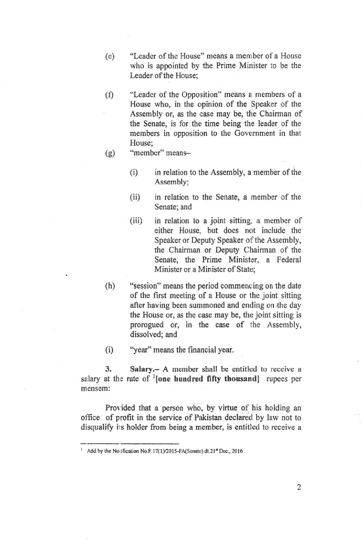- "Leader of the House" means a member of a House  $(e)$ who is appointed by the Prime Minister to be the Leader of the House:
- "Leader of the Opposition" means a members of a  $(f)$ House who, in the opinion of the Speaker of the Assembly or, as the case may be, the Chairman of the Senate, is for the time being the leader of the members in opposition to the Government in that House:
- "member" means- $(g)$ 
	- in relation to the Assembly, a member of the  $(i)$ Assembly:
	- $(ii)$ in relation to the Senate, a member of the Senate: and
	- in relation to a joint sitting, a member of  $(iii)$ either House, but does not include the Speaker or Deputy Speaker of the Assembly. the Chairman or Deputy Chairman of the Senate, the Prime Minister, a Federal Minister or a Minister of State:
- "session" means the period commencing on the date  $(h)$ of the first meeting of a House or the joint sitting after having been summoned and ending on the day the House or, as the case may be, the joint sitting is prorogued or, in the case of the Assembly, dissolved; and

 $(i)$ "year" means the financial year.

Salary.- A member shall be entitled to receive a 3. salary at the rate of <sup>1</sup>[one hundred fifty thousand] rupees per mensem:

Provided that a person who, by virtue of his holding an office of profit in the service of Pakistan declared by law not to disqualify its holder from being a member, is entitled to receive a

Add by the Notification No.F.17(1)/2015-PA(Senate) dt.21<sup>st</sup> Dec., 2016.